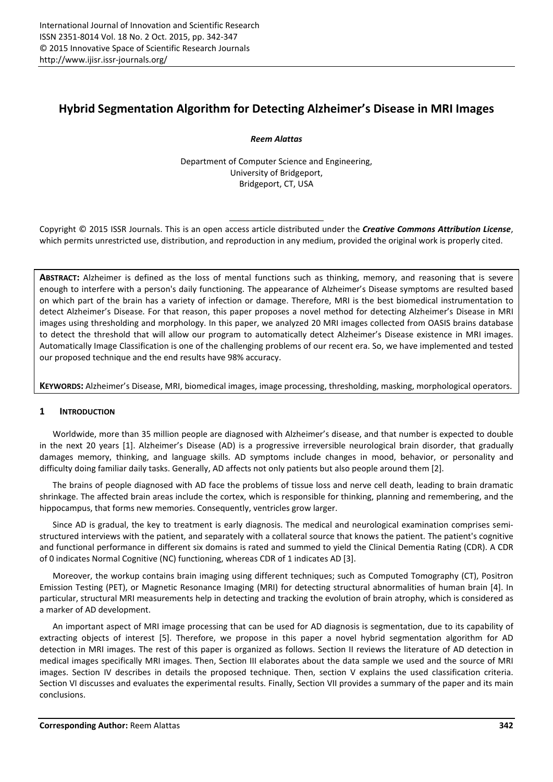# Hybrid Segmentation Algorithm for Detecting Alzheimer's Disease in MRI Images

*Reem Alattas*

Department of Computer Science and Engineering, University of Bridgeport, Bridgeport, CT, USA

Copyright © 2015 ISSR Journals. This is an open access article distributed under the *Creative Commons Attribution License*, which permits unrestricted use, distribution, and reproduction in any medium, provided the original work is properly cited.

ABSTRACT: Alzheimer is defined as the loss of mental functions such as thinking, memory, and reasoning that is severe enough to interfere with a person's daily functioning. The appearance of Alzheimer's Disease symptoms are resulted based on which part of the brain has a variety of infection or damage. Therefore, MRI is the best biomedical instrumentation to detect Alzheimer's Disease. For that reason, this paper proposes a novel method for detecting Alzheimer's Disease in MRI images using thresholding and morphology. In this paper, we analyzed 20 MRI images collected from OASIS brains database to detect the threshold that will allow our program to automatically detect Alzheimer's Disease existence in MRI images. Automatically Image Classification is one of the challenging problems of our recent era. So, we have implemented and tested our proposed technique and the end results have 98% accuracy.

KEYWORDS: Alzheimer's Disease, MRI, biomedical images, image processing, thresholding, masking, morphological operators.

# 1 INTRODUCTION

Worldwide, more than 35 million people are diagnosed with Alzheimer's disease, and that number is expected to double in the next 20 years [1]. Alzheimer's Disease (AD) is a progressive irreversible neurological brain disorder, that gradually damages memory, thinking, and language skills. AD symptoms include changes in mood, behavior, or personality and difficulty doing familiar daily tasks. Generally, AD affects not only patients but also people around them [2].

The brains of people diagnosed with AD face the problems of tissue loss and nerve cell death, leading to brain dramatic shrinkage. The affected brain areas include the cortex, which is responsible for thinking, planning and remembering, and the hippocampus, that forms new memories. Consequently, ventricles grow larger.

Since AD is gradual, the key to treatment is early diagnosis. The medical and neurological examination comprises semistructured interviews with the patient, and separately with a collateral source that knows the patient. The patient's cognitive and functional performance in different six domains is rated and summed to yield the Clinical Dementia Rating (CDR). A CDR of 0 indicates Normal Cognitive (NC) functioning, whereas CDR of 1 indicates AD [3].

Moreover, the workup contains brain imaging using different techniques; such as Computed Tomography (CT), Positron Emission Testing (PET), or Magnetic Resonance Imaging (MRI) for detecting structural abnormalities of human brain [4]. In particular, structural MRI measurements help in detecting and tracking the evolution of brain atrophy, which is considered as a marker of AD development.

An important aspect of MRI image processing that can be used for AD diagnosis is segmentation, due to its capability of extracting objects of interest [5]. Therefore, we propose in this paper a novel hybrid segmentation algorithm for AD detection in MRI images. The rest of this paper is organized as follows. Section II reviews the literature of AD detection in medical images specifically MRI images. Then, Section III elaborates about the data sample we used and the source of MRI images. Section IV describes in details the proposed technique. Then, section V explains the used classification criteria. Section VI discusses and evaluates the experimental results. Finally, Section VII provides a summary of the paper and its main conclusions.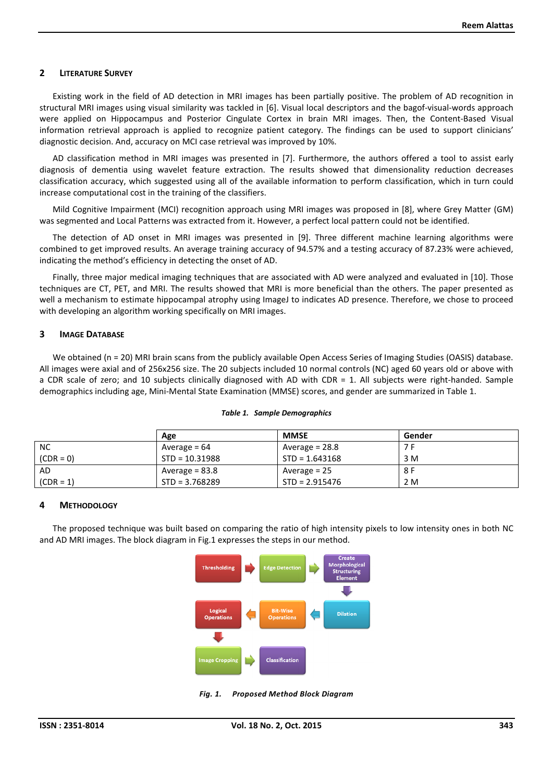## 2 LITERATURE SURVEY

Existing work in the field of AD detection in MRI images has been partially positive. The problem of AD recognition in structural MRI images using visual similarity was tackled in [6]. Visual local descriptors and the bagof-visual-words approach were applied on Hippocampus and Posterior Cingulate Cortex in brain MRI images. Then, the Content-Based Visual information retrieval approach is applied to recognize patient category. The findings can be used to support clinicians' diagnostic decision. And, accuracy on MCI case retrieval was improved by 10%.

AD classification method in MRI images was presented in [7]. Furthermore, the authors offered a tool to assist early diagnosis of dementia using wavelet feature extraction. The results showed that dimensionality reduction decreases classification accuracy, which suggested using all of the available information to perform classification, which in turn could increase computational cost in the training of the classifiers.

Mild Cognitive Impairment (MCI) recognition approach using MRI images was proposed in [8], where Grey Matter (GM) was segmented and Local Patterns was extracted from it. However, a perfect local pattern could not be identified.

The detection of AD onset in MRI images was presented in [9]. Three different machine learning algorithms were combined to get improved results. An average training accuracy of 94.57% and a testing accuracy of 87.23% were achieved, indicating the method's efficiency in detecting the onset of AD.

Finally, three major medical imaging techniques that are associated with AD were analyzed and evaluated in [10]. Those techniques are CT, PET, and MRI. The results showed that MRI is more beneficial than the others. The paper presented as well a mechanism to estimate hippocampal atrophy using ImageJ to indicates AD presence. Therefore, we chose to proceed with developing an algorithm working specifically on MRI images.

## 3 IMAGE DATABASE

We obtained (n = 20) MRI brain scans from the publicly available Open Access Series of Imaging Studies (OASIS) database. All images were axial and of 256x256 size. The 20 subjects included 10 normal controls (NC) aged 60 years old or above with a CDR scale of zero; and 10 subjects clinically diagnosed with AD with CDR = 1. All subjects were right-handed. Sample demographics including age, Mini-Mental State Examination (MMSE) scores, and gender are summarized in Table 1.

|             | Age              | <b>MMSE</b>      | Gender |
|-------------|------------------|------------------|--------|
| <b>NC</b>   | Average $= 64$   | Average $= 28.8$ |        |
| $(CDR = 0)$ | $STD = 10.31988$ | $STD = 1.643168$ | 3 M    |
| AD          | Average $= 83.8$ | Average = 25     | 8 F    |
| $(CDR = 1)$ | $STD = 3.768289$ | $STD = 2.915476$ | 2 M    |

#### *Table 1. Sample Demographics*

## 4 METHODOLOGY

The proposed technique was built based on comparing the ratio of high intensity pixels to low intensity ones in both NC and AD MRI images. The block diagram in Fig.1 expresses the steps in our method.



*Fig. 1. Proposed Method Block Diagram*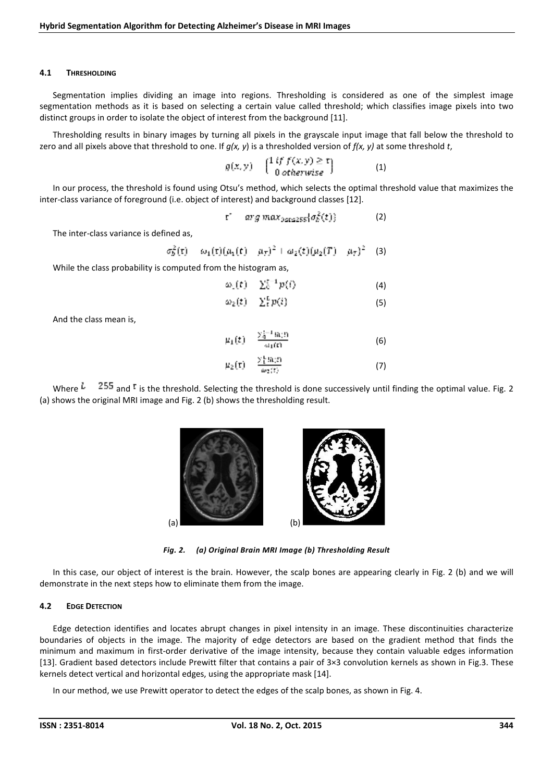### 4.1 THRESHOLDING

Segmentation implies dividing an image into regions. Thresholding is considered as one of the simplest image segmentation methods as it is based on selecting a certain value called threshold; which classifies image pixels into two distinct groups in order to isolate the object of interest from the background [11].

Thresholding results in binary images by turning all pixels in the grayscale input image that fall below the threshold to zero and all pixels above that threshold to one. If *g(x, y*) is a thresholded version of *f(x, y)* at some threshold *t*,

$$
g(x, y) = \begin{pmatrix} 1 & \text{if } f(x, y) \geq \tau \\ 0 & \text{otherwise} \end{pmatrix}
$$
 (1)

In our process, the threshold is found using Otsu's method, which selects the optimal threshold value that maximizes the inter-class variance of foreground (i.e. object of interest) and background classes [12].

$$
\mathbf{t}^* = arg \, max_{0 \leq t \leq 255} \{ \sigma_k^2(t) \} \tag{2}
$$

The inter-class variance is defined as,

$$
\sigma_5^2(\tau) = \omega_1(\tau)(\mu_1(\tau) - \mu_T)^2 + \omega_2(\tau)(\mu_2(T) - \mu_T)^2
$$
 (3)

While the class probability is computed from the histogram as,

$$
\omega_0(t) = \sum_0^{t-1} p(t) \tag{4}
$$

$$
\omega_2(t) = \sum_{i=1}^{L} p(i) \tag{5}
$$

And the class mean is,

$$
\mu_1(t) = \frac{\sum_{i=1}^{t-1} \ln(t)}{\omega_1(t)} \tag{6}
$$
\n
$$
\mu_2(t) = \frac{\sum_{i=1}^{t} \ln(t)}{\omega_2(t)} \tag{7}
$$

Where  $\frac{1}{2}$   $\frac{255}{3}$  and <sup>t</sup> is the threshold. Selecting the threshold is done successively until finding the optimal value. Fig. 2 (a) shows the original MRI image and Fig. 2 (b) shows the thresholding result.



*Fig. 2. (a) Original Brain MRI Image (b) Thresholding Result*

In this case, our object of interest is the brain. However, the scalp bones are appearing clearly in Fig. 2 (b) and we will demonstrate in the next steps how to eliminate them from the image.

## 4.2 EDGE DETECTION

Edge detection identifies and locates abrupt changes in pixel intensity in an image. These discontinuities characterize boundaries of objects in the image. The majority of edge detectors are based on the gradient method that finds the minimum and maximum in first-order derivative of the image intensity, because they contain valuable edges information [13]. Gradient based detectors include Prewitt filter that contains a pair of 3×3 convolution kernels as shown in Fig.3. These kernels detect vertical and horizontal edges, using the appropriate mask [14].

In our method, we use Prewitt operator to detect the edges of the scalp bones, as shown in Fig. 4.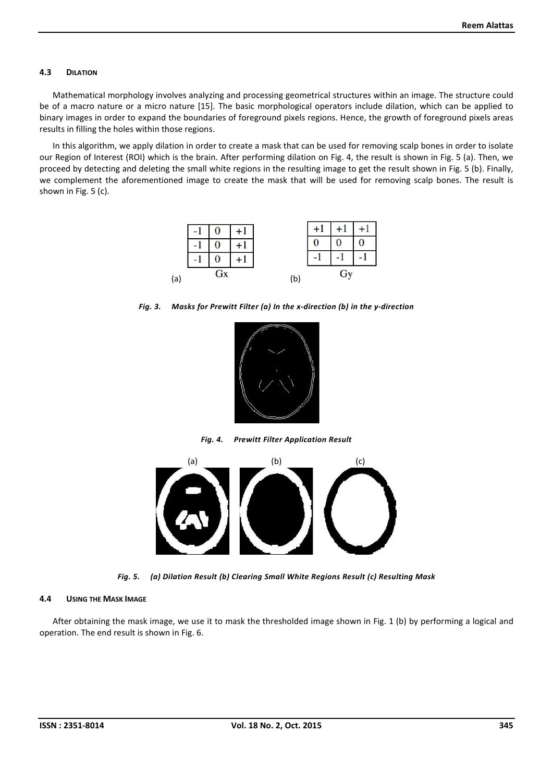#### 4.3 DILATION

Mathematical morphology involves analyzing and processing geometrical structures within an image. The structure could be of a macro nature or a micro nature [15]. The basic morphological operators include dilation, which can be applied to binary images in order to expand the boundaries of foreground pixels regions. Hence, the growth of foreground pixels areas results in filling the holes within those regions.

In this algorithm, we apply dilation in order to create a mask that can be used for removing scalp bones in order to isolate our Region of Interest (ROI) which is the brain. After performing dilation on Fig. 4, the result is shown in Fig. 5 (a). Then, we proceed by detecting and deleting the small white regions in the resulting image to get the result shown in Fig. 5 (b). Finally, we complement the aforementioned image to create the mask that will be used for removing scalp bones. The result is shown in Fig. 5 (c).



*Fig. 3. Masks for Prewitt Filter (a) In the x-direction (b) in the y-direction*



*Fig. 4. Prewitt Filter Application Result*



*Fig. 5. (a) Dilation Result (b) Clearing Small White Regions Result (c) Resulting Mask*

#### 4.4 USING THE MASK IMAGE

After obtaining the mask image, we use it to mask the thresholded image shown in Fig. 1 (b) by performing a logical and operation. The end result is shown in Fig. 6.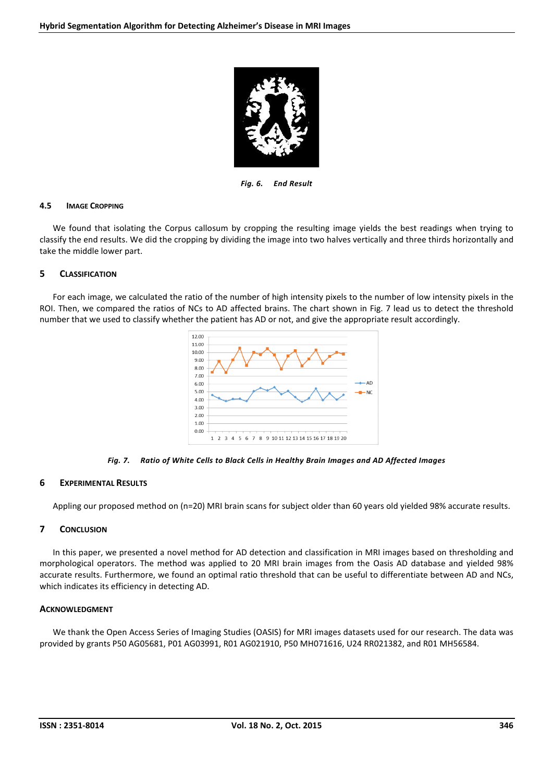

*Fig. 6. End Result*

#### 4.5 IMAGE CROPPING

We found that isolating the Corpus callosum by cropping the resulting image yields the best readings when trying to classify the end results. We did the cropping by dividing the image into two halves vertically and three thirds horizontally and take the middle lower part.

## 5 CLASSIFICATION

For each image, we calculated the ratio of the number of high intensity pixels to the number of low intensity pixels in the ROI. Then, we compared the ratios of NCs to AD affected brains. The chart shown in Fig. 7 lead us to detect the threshold number that we used to classify whether the patient has AD or not, and give the appropriate result accordingly.



*Fig. 7. Ratio of White Cells to Black Cells in Healthy Brain Images and AD Affected Images*

## 6 EXPERIMENTAL RESULTS

Appling our proposed method on (n=20) MRI brain scans for subject older than 60 years old yielded 98% accurate results.

# 7 CONCLUSION

In this paper, we presented a novel method for AD detection and classification in MRI images based on thresholding and morphological operators. The method was applied to 20 MRI brain images from the Oasis AD database and yielded 98% accurate results. Furthermore, we found an optimal ratio threshold that can be useful to differentiate between AD and NCs, which indicates its efficiency in detecting AD.

# ACKNOWLEDGMENT

We thank the Open Access Series of Imaging Studies (OASIS) for MRI images datasets used for our research. The data was provided by grants P50 AG05681, P01 AG03991, R01 AG021910, P50 MH071616, U24 RR021382, and R01 MH56584.